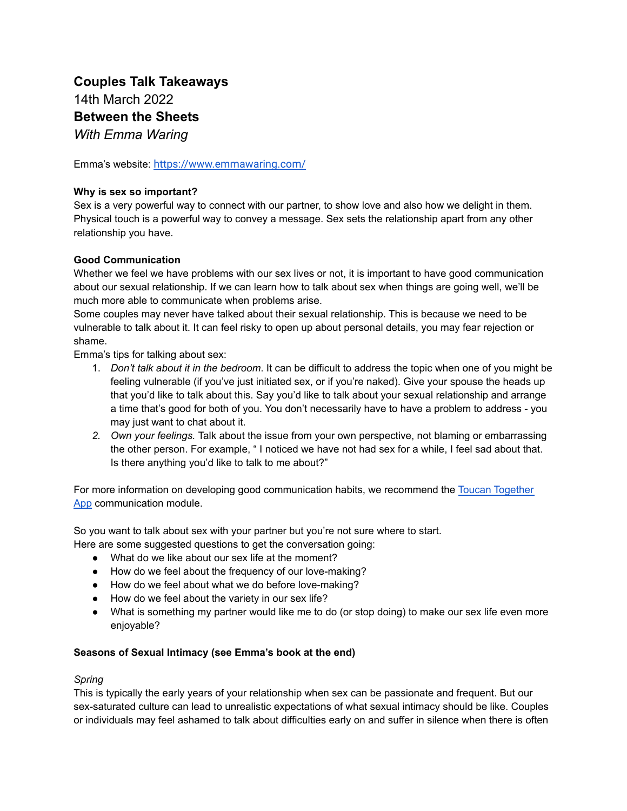# **Couples Talk Takeaways** 14th March 2022 **Between the Sheets** *With Emma Waring*

Emma's website: <https://www.emmawaring.com/>

#### **Why is sex so important?**

Sex is a very powerful way to connect with our partner, to show love and also how we delight in them. Physical touch is a powerful way to convey a message. Sex sets the relationship apart from any other relationship you have.

#### **Good Communication**

Whether we feel we have problems with our sex lives or not, it is important to have good communication about our sexual relationship. If we can learn how to talk about sex when things are going well, we'll be much more able to communicate when problems arise.

Some couples may never have talked about their sexual relationship. This is because we need to be vulnerable to talk about it. It can feel risky to open up about personal details, you may fear rejection or shame.

Emma's tips for talking about sex:

- 1. *Don't talk about it in the bedroom*. It can be difficult to address the topic when one of you might be feeling vulnerable (if you've just initiated sex, or if you're naked). Give your spouse the heads up that you'd like to talk about this. Say you'd like to talk about your sexual relationship and arrange a time that's good for both of you. You don't necessarily have to have a problem to address - you may just want to chat about it.
- *2. Own your feelings.* Talk about the issue from your own perspective, not blaming or embarrassing the other person. For example, " I noticed we have not had sex for a while, I feel sad about that. Is there anything you'd like to talk to me about?"

For more information on developing good communication habits, we recommend the Toucan [Together](https://toucantogether.com/) [App](https://toucantogether.com/) communication module.

So you want to talk about sex with your partner but you're not sure where to start.

Here are some suggested questions to get the conversation going:

- What do we like about our sex life at the moment?
- How do we feel about the frequency of our love-making?
- How do we feel about what we do before love-making?
- How do we feel about the variety in our sex life?
- What is something my partner would like me to do (or stop doing) to make our sex life even more enjoyable?

#### **Seasons of Sexual Intimacy (see Emma's book at the end)**

#### *Spring*

This is typically the early years of your relationship when sex can be passionate and frequent. But our sex-saturated culture can lead to unrealistic expectations of what sexual intimacy should be like. Couples or individuals may feel ashamed to talk about difficulties early on and suffer in silence when there is often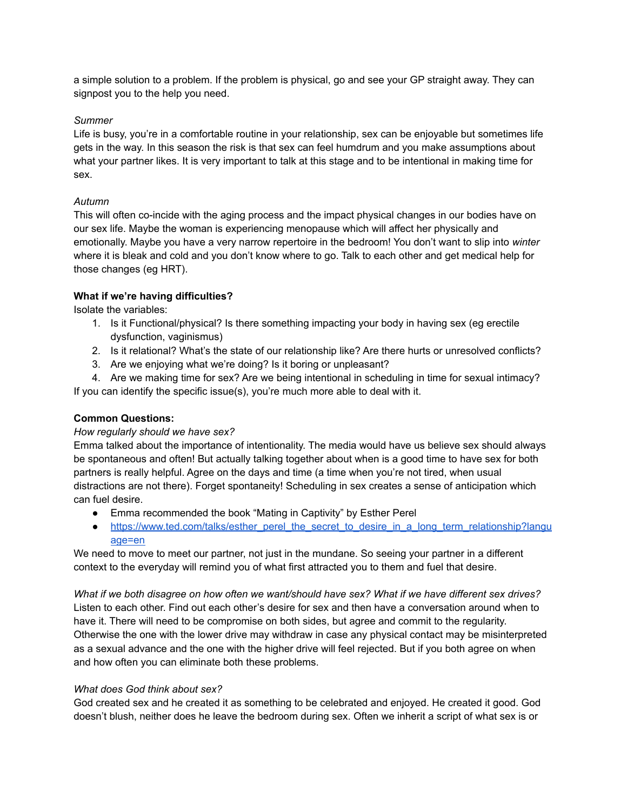a simple solution to a problem. If the problem is physical, go and see your GP straight away. They can signpost you to the help you need.

#### *Summer*

Life is busy, you're in a comfortable routine in your relationship, sex can be enjoyable but sometimes life gets in the way. In this season the risk is that sex can feel humdrum and you make assumptions about what your partner likes. It is very important to talk at this stage and to be intentional in making time for sex.

# *Autumn*

This will often co-incide with the aging process and the impact physical changes in our bodies have on our sex life. Maybe the woman is experiencing menopause which will affect her physically and emotionally. Maybe you have a very narrow repertoire in the bedroom! You don't want to slip into *winter* where it is bleak and cold and you don't know where to go. Talk to each other and get medical help for those changes (eg HRT).

# **What if we're having difficulties?**

Isolate the variables:

- 1. Is it Functional/physical? Is there something impacting your body in having sex (eg erectile dysfunction, vaginismus)
- 2. Is it relational? What's the state of our relationship like? Are there hurts or unresolved conflicts?
- 3. Are we enjoying what we're doing? Is it boring or unpleasant?
- 4. Are we making time for sex? Are we being intentional in scheduling in time for sexual intimacy? If you can identify the specific issue(s), you're much more able to deal with it.

# **Common Questions:**

# *How regularly should we have sex?*

Emma talked about the importance of intentionality. The media would have us believe sex should always be spontaneous and often! But actually talking together about when is a good time to have sex for both partners is really helpful. Agree on the days and time (a time when you're not tired, when usual distractions are not there). Forget spontaneity! Scheduling in sex creates a sense of anticipation which can fuel desire.

- Emma recommended the book "Mating in Captivity" by Esther Perel
- [https://www.ted.com/talks/esther\\_perel\\_the\\_secret\\_to\\_desire\\_in\\_a\\_long\\_term\\_relationship?langu](https://www.ted.com/talks/esther_perel_the_secret_to_desire_in_a_long_term_relationship?language=en) [age=en](https://www.ted.com/talks/esther_perel_the_secret_to_desire_in_a_long_term_relationship?language=en)

We need to move to meet our partner, not just in the mundane. So seeing your partner in a different context to the everyday will remind you of what first attracted you to them and fuel that desire.

What if we both disagree on how often we want/should have sex? What if we have different sex drives? Listen to each other. Find out each other's desire for sex and then have a conversation around when to have it. There will need to be compromise on both sides, but agree and commit to the regularity. Otherwise the one with the lower drive may withdraw in case any physical contact may be misinterpreted as a sexual advance and the one with the higher drive will feel rejected. But if you both agree on when and how often you can eliminate both these problems.

# *What does God think about sex?*

God created sex and he created it as something to be celebrated and enjoyed. He created it good. God doesn't blush, neither does he leave the bedroom during sex. Often we inherit a script of what sex is or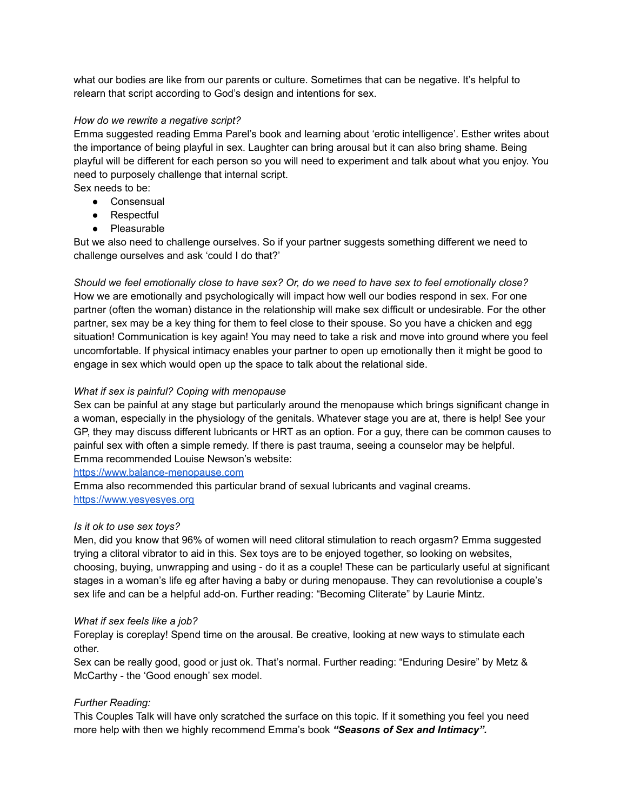what our bodies are like from our parents or culture. Sometimes that can be negative. It's helpful to relearn that script according to God's design and intentions for sex.

#### *How do we rewrite a negative script?*

Emma suggested reading Emma Parel's book and learning about 'erotic intelligence'. Esther writes about the importance of being playful in sex. Laughter can bring arousal but it can also bring shame. Being playful will be different for each person so you will need to experiment and talk about what you enjoy. You need to purposely challenge that internal script.

Sex needs to be:

- Consensual
- Respectful
- Pleasurable

But we also need to challenge ourselves. So if your partner suggests something different we need to challenge ourselves and ask 'could I do that?'

Should we feel emotionally close to have sex? Or, do we need to have sex to feel emotionally close? How we are emotionally and psychologically will impact how well our bodies respond in sex. For one partner (often the woman) distance in the relationship will make sex difficult or undesirable. For the other partner, sex may be a key thing for them to feel close to their spouse. So you have a chicken and egg situation! Communication is key again! You may need to take a risk and move into ground where you feel uncomfortable. If physical intimacy enables your partner to open up emotionally then it might be good to engage in sex which would open up the space to talk about the relational side.

# *What if sex is painful? Coping with menopause*

Sex can be painful at any stage but particularly around the menopause which brings significant change in a woman, especially in the physiology of the genitals. Whatever stage you are at, there is help! See your GP, they may discuss different lubricants or HRT as an option. For a guy, there can be common causes to painful sex with often a simple remedy. If there is past trauma, seeing a counselor may be helpful. Emma recommended Louise Newson's website:

<https://www.balance-menopause.com>

Emma also recommended this particular brand of sexual lubricants and vaginal creams. <https://www.yesyesyes.org>

# *Is it ok to use sex toys?*

Men, did you know that 96% of women will need clitoral stimulation to reach orgasm? Emma suggested trying a clitoral vibrator to aid in this. Sex toys are to be enjoyed together, so looking on websites, choosing, buying, unwrapping and using - do it as a couple! These can be particularly useful at significant stages in a woman's life eg after having a baby or during menopause. They can revolutionise a couple's sex life and can be a helpful add-on. Further reading: "Becoming Cliterate" by Laurie Mintz.

# *What if sex feels like a job?*

Foreplay is coreplay! Spend time on the arousal. Be creative, looking at new ways to stimulate each other.

Sex can be really good, good or just ok. That's normal. Further reading: "Enduring Desire" by Metz & McCarthy - the 'Good enough' sex model.

# *Further Reading:*

This Couples Talk will have only scratched the surface on this topic. If it something you feel you need more help with then we highly recommend Emma's book *"Seasons of Sex and Intimacy".*